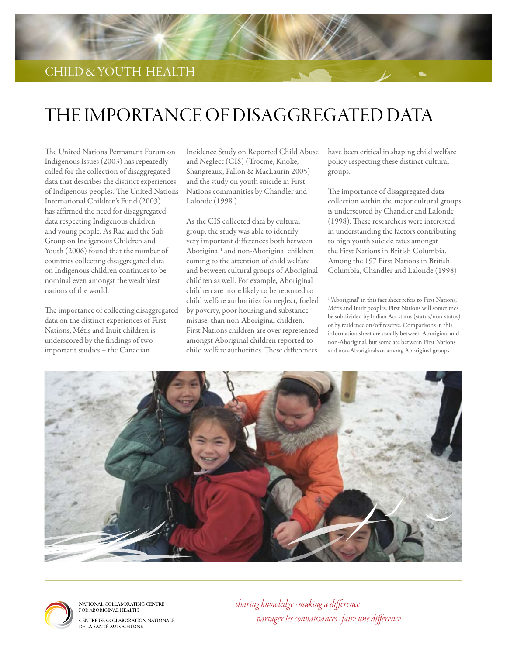

# THE IMPORTANCE OF DISAGGREGATED DATA

The United Nations Permanent Forum on Indigenous Issues (2003) has repeatedly called for the collection of disaggregated data that describes the distinct experiences of Indigenous peoples. The United Nations International Children's Fund (2003) has affirmed the need for disaggregated data respecting Indigenous children and young people. As Rae and the Sub Group on Indigenous Children and Youth (2006) found that the number of countries collecting disaggregated data on Indigenous children continues to be nominal even amongst the wealthiest nations of the world.

The importance of collecting disaggregated data on the distinct experiences of First Nations, Métis and Inuit children is underscored by the findings of two important studies – the Canadian

Incidence Study on Reported Child Abuse and Neglect (CIS) (Trocme, Knoke, Shangreaux, Fallon & MacLaurin 2005) and the study on youth suicide in First Nations communities by Chandler and Lalonde (1998.)

As the CIS collected data by cultural group, the study was able to identify very important differences both between Aboriginal<sup>1</sup> and non-Aboriginal children coming to the attention of child welfare and between cultural groups of Aboriginal children as well. For example, Aboriginal children are more likely to be reported to child welfare authorities for neglect, fueled by poverty, poor housing and substance misuse, than non-Aboriginal children. First Nations children are over represented amongst Aboriginal children reported to child welfare authorities. These differences

have been critical in shaping child welfare policy respecting these distinct cultural groups.

The importance of disaggregated data collection within the major cultural groups is underscored by Chandler and Lalonde (1998). These researchers were interested in understanding the factors contributing to high youth suicide rates amongst the First Nations in British Columbia. Among the 197 First Nations in British Columbia, Chandler and Lalonde (1998)

<sup>1</sup> 'Aboriginal' in this fact sheet refers to First Nations, Métis and Inuit peoples. First Nations will sometimes be subdivided by Indian Act status (status/non-status) or by residence on/off reserve. Comparisons in this information sheet are usually between Aboriginal and non-Aboriginal, but some are between First Nations and non-Aboriginals or among Aboriginal groups.





NATIONAL COLLABORATING CENTRE<br>FOR ABORIGINAL HEALTH CENTRE DE COLLABORATION NATIONALE DE LA SANTÉ AUTOCHTONE

*sharing knowledge · making a difference partager les connaissances · faire une difference*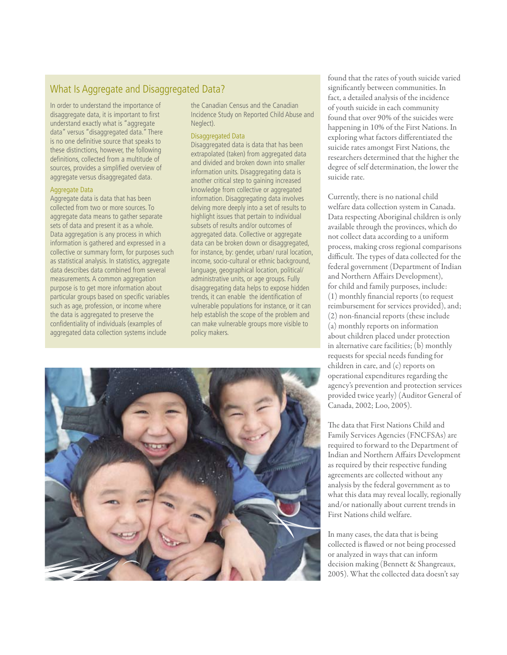## What Is Aggregate and Disaggregated Data?

In order to understand the importance of disaggregate data, it is important to first understand exactly what is "aggregate data" versus "disaggregated data." There is no one definitive source that speaks to these distinctions, however, the following definitions, collected from a multitude of sources, provides a simplified overview of aggregate versus disaggregated data.

#### Aggregate Data

Aggregate data is data that has been collected from two or more sources. To aggregate data means to gather separate sets of data and present it as a whole. Data aggregation is any process in which information is gathered and expressed in a collective or summary form, for purposes such as statistical analysis. In statistics, aggregate data describes data combined from several measurements. A common aggregation purpose is to get more information about particular groups based on specific variables such as age, profession, or income where the data is aggregated to preserve the confidentiality of individuals (examples of aggregated data collection systems include

the Canadian Census and the Canadian Incidence Study on Reported Child Abuse and Neglect).

#### Disaggregated Data

Disaggregated data is data that has been extrapolated (taken) from aggregated data and divided and broken down into smaller information units. Disaggregating data is another critical step to gaining increased knowledge from collective or aggregated information. Disaggregating data involves delving more deeply into a set of results to highlight issues that pertain to individual subsets of results and/or outcomes of aggregated data. Collective or aggregate data can be broken down or disaggregated, for instance, by: gender, urban/ rural location, income, socio-cultural or ethnic background, language, geographical location, political/ administrative units, or age groups. Fully disaggregating data helps to expose hidden trends, it can enable the identification of vulnerable populations for instance, or it can help establish the scope of the problem and can make vulnerable groups more visible to policy makers.

found that the rates of youth suicide varied significantly between communities. In fact, a detailed analysis of the incidence of youth suicide in each community found that over 90% of the suicides were happening in 10% of the First Nations. In exploring what factors differentiated the suicide rates amongst First Nations, the researchers determined that the higher the degree of self determination, the lower the suicide rate.

Currently, there is no national child welfare data collection system in Canada. Data respecting Aboriginal children is only available through the provinces, which do not collect data according to a uniform process, making cross regional comparisons difficult. The types of data collected for the federal government (Department of Indian and Northern Affairs Development), for child and family purposes, include: (1) monthly financial reports (to request reimbursement for services provided), and; (2) non-financial reports (these include (a) monthly reports on information about children placed under protection in alternative care facilities; (b) monthly requests for special needs funding for children in care, and (c) reports on operational expenditures regarding the agency's prevention and protection services provided twice yearly) (Auditor General of Canada, 2002; Loo, 2005).

The data that First Nations Child and Family Services Agencies (FNCFSAs) are required to forward to the Department of Indian and Northern Affairs Development as required by their respective funding agreements are collected without any analysis by the federal government as to what this data may reveal locally, regionally and/or nationally about current trends in First Nations child welfare.

In many cases, the data that is being collected is flawed or not being processed or analyzed in ways that can inform decision making (Bennett & Shangreaux, 2005). What the collected data doesn't say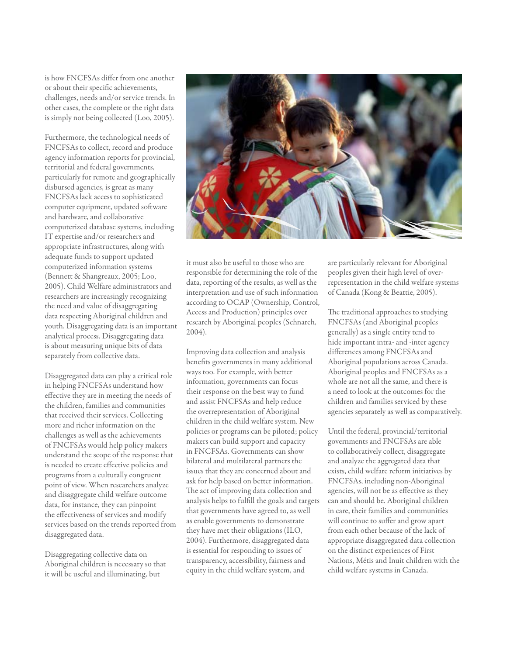is how FNCFSAs differ from one another or about their specific achievements, challenges, needs and/or service trends. In other cases, the complete or the right data is simply not being collected (Loo, 2005).

Furthermore, the technological needs of FNCFSAs to collect, record and produce agency information reports for provincial, territorial and federal governments, particularly for remote and geographically disbursed agencies, is great as many FNCFSAs lack access to sophisticated computer equipment, updated software and hardware, and collaborative computerized database systems, including IT expertise and/or researchers and appropriate infrastructures, along with adequate funds to support updated computerized information systems (Bennett & Shangreaux, 2005; Loo, 2005). Child Welfare administrators and researchers are increasingly recognizing the need and value of disaggregating data respecting Aboriginal children and youth. Disaggregating data is an important analytical process. Disaggregating data is about measuring unique bits of data separately from collective data.

Disaggregated data can play a critical role in helping FNCFSAs understand how effective they are in meeting the needs of the children, families and communities that received their services. Collecting more and richer information on the challenges as well as the achievements of FNCFSAs would help policy makers understand the scope of the response that is needed to create effective policies and programs from a culturally congruent point of view. When researchers analyze and disaggregate child welfare outcome data, for instance, they can pinpoint the effectiveness of services and modify services based on the trends reported from disaggregated data.

Disaggregating collective data on Aboriginal children is necessary so that it will be useful and illuminating, but



it must also be useful to those who are responsible for determining the role of the data, reporting of the results, as well as the interpretation and use of such information according to OCAP (Ownership, Control, Access and Production) principles over research by Aboriginal peoples (Schnarch, 2004).

Improving data collection and analysis benefits governments in many additional ways too. For example, with better information, governments can focus their response on the best way to fund and assist FNCFSAs and help reduce the overrepresentation of Aboriginal children in the child welfare system. New policies or programs can be piloted; policy makers can build support and capacity in FNCFSAs. Governments can show bilateral and multilateral partners the issues that they are concerned about and ask for help based on better information. The act of improving data collection and analysis helps to fulfill the goals and targets that governments have agreed to, as well as enable governments to demonstrate they have met their obligations (ILO, 2004). Furthermore, disaggregated data is essential for responding to issues of transparency, accessibility, fairness and equity in the child welfare system, and

are particularly relevant for Aboriginal peoples given their high level of overrepresentation in the child welfare systems of Canada (Kong & Beattie, 2005).

The traditional approaches to studying FNCFSAs (and Aboriginal peoples generally) as a single entity tend to hide important intra- and -inter agency differences among FNCFSAs and Aboriginal populations across Canada. Aboriginal peoples and FNCFSAs as a whole are not all the same, and there is a need to look at the outcomes for the children and families serviced by these agencies separately as well as comparatively.

Until the federal, provincial/territorial governments and FNCFSAs are able to collaboratively collect, disaggregate and analyze the aggregated data that exists, child welfare reform initiatives by FNCFSAs, including non-Aboriginal agencies, will not be as effective as they can and should be. Aboriginal children in care, their families and communities will continue to suffer and grow apart from each other because of the lack of appropriate disaggregated data collection on the distinct experiences of First Nations, Métis and Inuit children with the child welfare systems in Canada.